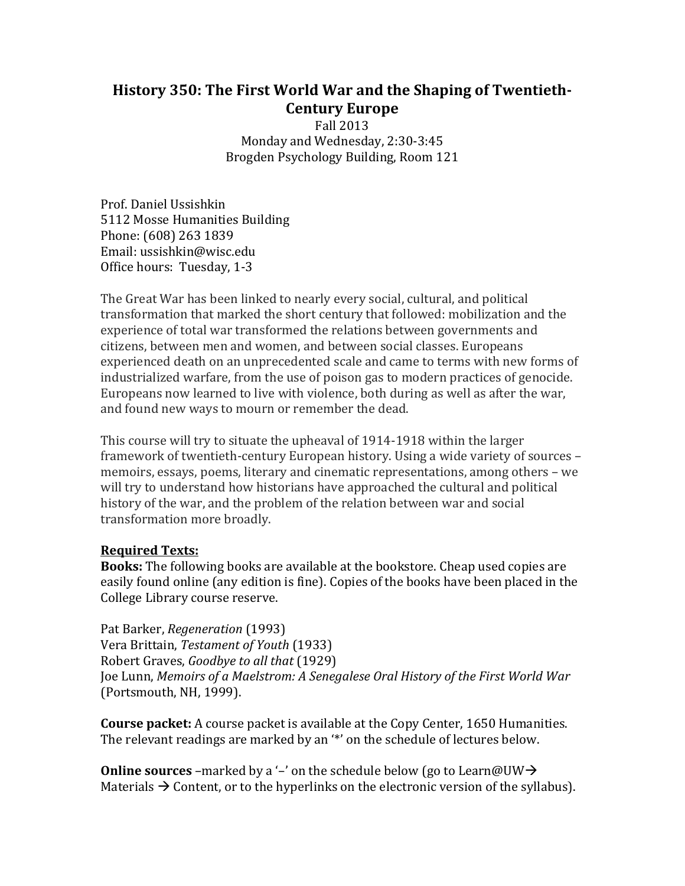# **History 350: The First World War and the Shaping of Twentieth‐ Century Europe**

Fall 2013 Monday and Wednesday, 2:30-3:45 Brogden Psychology Building, Room 121 

Prof. Daniel Ussishkin 5112 Mosse Humanities Building Phone: (608) 263 1839 Email: ussishkin@wisc.edu Office hours: Tuesday, 1-3

The Great War has been linked to nearly every social, cultural, and political transformation that marked the short century that followed: mobilization and the experience of total war transformed the relations between governments and citizens, between men and women, and between social classes. Europeans experienced death on an unprecedented scale and came to terms with new forms of industrialized warfare, from the use of poison gas to modern practices of genocide. Europeans now learned to live with violence, both during as well as after the war, and found new ways to mourn or remember the dead.

This course will try to situate the upheaval of  $1914-1918$  within the larger framework of twentieth-century European history. Using a wide variety of sources – memoirs, essays, poems, literary and cinematic representations, among others – we will try to understand how historians have approached the cultural and political history of the war, and the problem of the relation between war and social transformation more broadly.

### **Required Texts:**

**Books:** The following books are available at the bookstore. Cheap used copies are easily found online (any edition is fine). Copies of the books have been placed in the College Library course reserve.

Pat Barker, *Regeneration* (1993) Vera Brittain, *Testament of Youth* (1933) Robert Graves, *Goodbye to all that* (1929) Joe Lunn, *Memoirs of a Maelstrom: A Senegalese Oral History of the First World War* (Portsmouth, NH, 1999).

**Course packet:** A course packet is available at the Copy Center, 1650 Humanities. The relevant readings are marked by an "\*' on the schedule of lectures below.

**Online sources** –marked by a '–' on the schedule below (go to Learn@UW $\rightarrow$ Materials  $\rightarrow$  Content, or to the hyperlinks on the electronic version of the syllabus).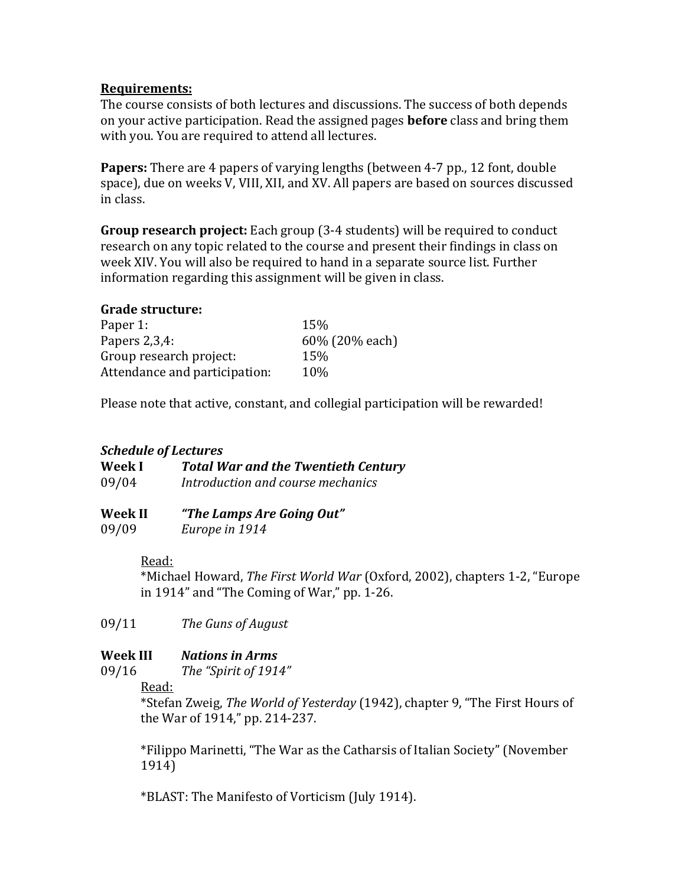#### **Requirements:**

The course consists of both lectures and discussions. The success of both depends on your active participation. Read the assigned pages **before** class and bring them with you. You are required to attend all lectures.

**Papers:** There are 4 papers of varying lengths (between 4-7 pp., 12 font, double space), due on weeks V, VIII, XII, and XV. All papers are based on sources discussed in class. 

**Group research project:** Each group (3-4 students) will be required to conduct research on any topic related to the course and present their findings in class on week XIV. You will also be required to hand in a separate source list. Further information regarding this assignment will be given in class.

#### **Grade structure:**

| Paper 1:                      | 15%            |
|-------------------------------|----------------|
| Papers $2,3,4$ :              | 60% (20% each) |
| Group research project:       | 15%            |
| Attendance and participation: | 10%            |

Please note that active, constant, and collegial participation will be rewarded!

# *Schedule of Lectures*

| Week I | <b>Total War and the Twentieth Century</b> |
|--------|--------------------------------------------|
| 09/04  | Introduction and course mechanics          |

**Week II** *"The Lamps Are Going Out"* 09/09 *Europe in 1914* 

Read: 

\*Michael Howard, *The First World War* (Oxford, 2002), chapters 1‐2, "Europe in  $1914$ " and "The Coming of War," pp. 1-26.

09/11 *The Guns of August* 

# **Week III** *Nations in Arms*

09/16 *The "Spirit of 1914"*

Read: 

\*Stefan Zweig, *The World of Yesterday* (1942), chapter 9, "The First Hours of the War of 1914,"  $pp. 214-237$ .

\*Filippo Marinetti, "The War as the Catharsis of Italian Society" (November 1914) 

\*BLAST: The Manifesto of Vorticism (July 1914).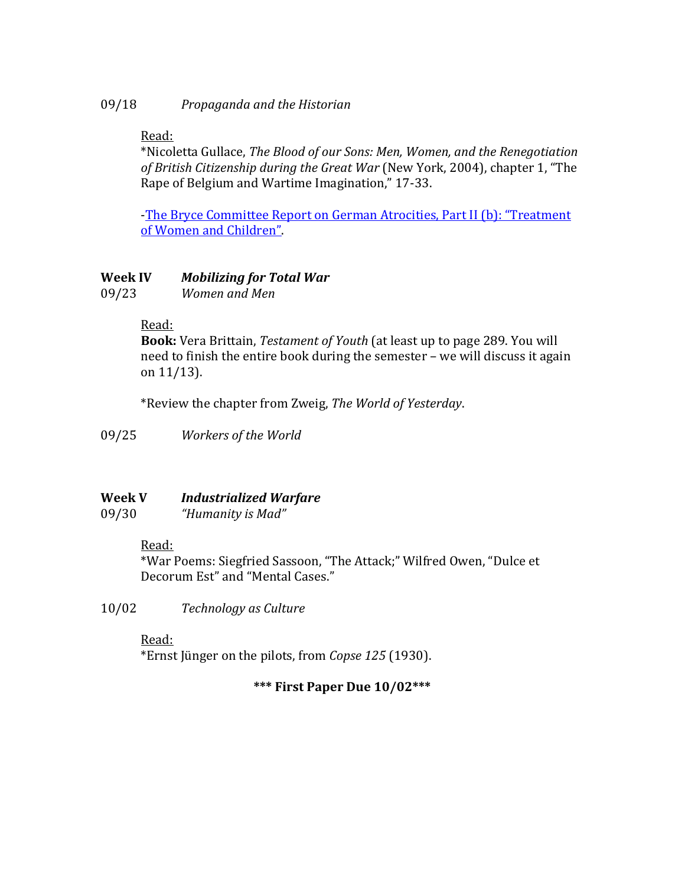# Read:

\*Nicoletta Gullace, *The Blood of our Sons: Men, Women, and the Renegotiation of British Citizenship during the Great War* (New York, 2004), chapter 1, "The Rape of Belgium and Wartime Imagination," 17-33.

-The Bryce Committee Report on German Atrocities, Part II (b): "Treatment of Women and Children".

# **Week IV** *Mobilizing for Total War*

09/23 *Women and Men*

# Read:

**Book:** Vera Brittain, Testament of Youth (at least up to page 289. You will need to finish the entire book during the semester – we will discuss it again on  $11/13$ ).

\*Review the chapter from Zweig, *The World of Yesterday*. 

09/25 *Workers of the World* 

# **Week V** *Industrialized Warfare*

09/30 *"Humanity is Mad"*

# Read:

\*War Poems: Siegfried Sassoon, "The Attack;" Wilfred Owen, "Dulce et Decorum Est" and "Mental Cases."

10/02 *Technology as Culture*

# Read:

\*Ernst Jünger on the pilots, from *Copse* 125 (1930).

# **\*\*\* First Paper Due 10/02\*\*\***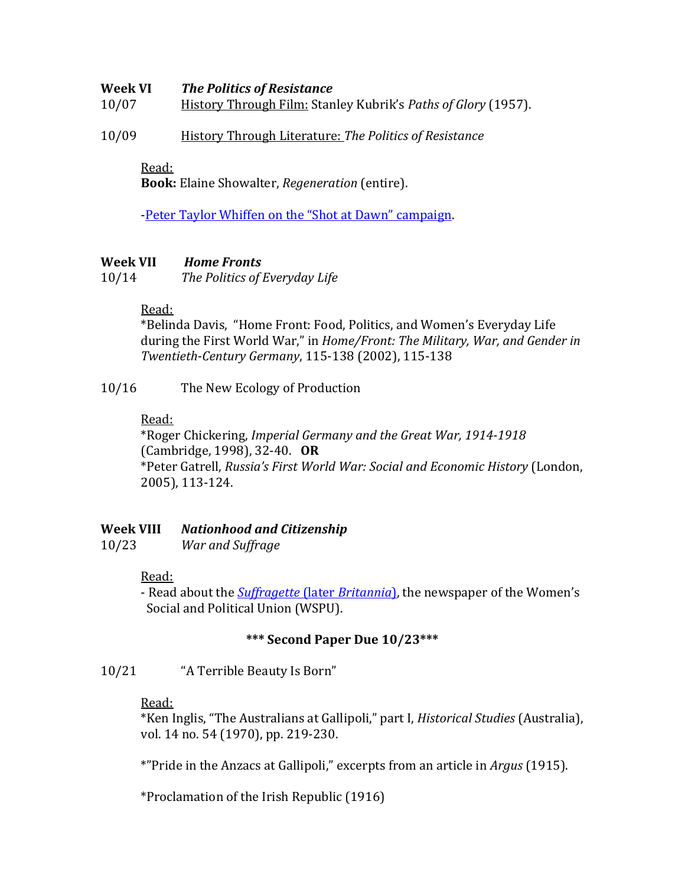#### **Week VI** *The Politics of Resistance*

10/07 History Through Film: Stanley Kubrik's *Paths of Glory* (1957). 

10/09 History Through Literature: *The Politics of Resistance*

#### Read:

**Book:** Elaine Showalter, *Regeneration* (entire).

-Peter Taylor Whiffen on the "Shot at Dawn" campaign.

#### **Week VII** *Home Fronts*

10/14 *The Politics of Everyday Life*

#### Read:

\*Belinda Davis, "Home Front: Food, Politics, and Women's Everyday Life during the First World War," in *Home/Front: The Military, War, and Gender in Twentieth‐Century Germany*, 115‐138 (2002), 115‐138 

#### 10/16 The New Ecology of Production

#### Read:

\*Roger Chickering, *Imperial Germany and the Great War, 1914‐1918* (Cambridge, 1998), 32-40. OR \*Peter Gatrell, *Russia's First World War: Social and Economic History* (London, 2005), 113‐124. 

### **Week VIII** *Nationhood and Citizenship*

10/23 *War and Suffrage*

#### Read:

- Read about the *Suffragette* (later *Britannia*), the newspaper of the Women's Social and Political Union (WSPU).

#### **\*\*\* Second Paper Due 10/23\*\*\***

10/21 "A Terrible Beauty Is Born"

#### Read:

\*Ken Inglis, "The Australians at Gallipoli," part I, *Historical Studies* (Australia), vol. 14 no. 54 (1970), pp. 219-230.

\*"Pride in the Anzacs at Gallipoli," excerpts from an article in *Argus* (1915).

\*Proclamation of the Irish Republic (1916)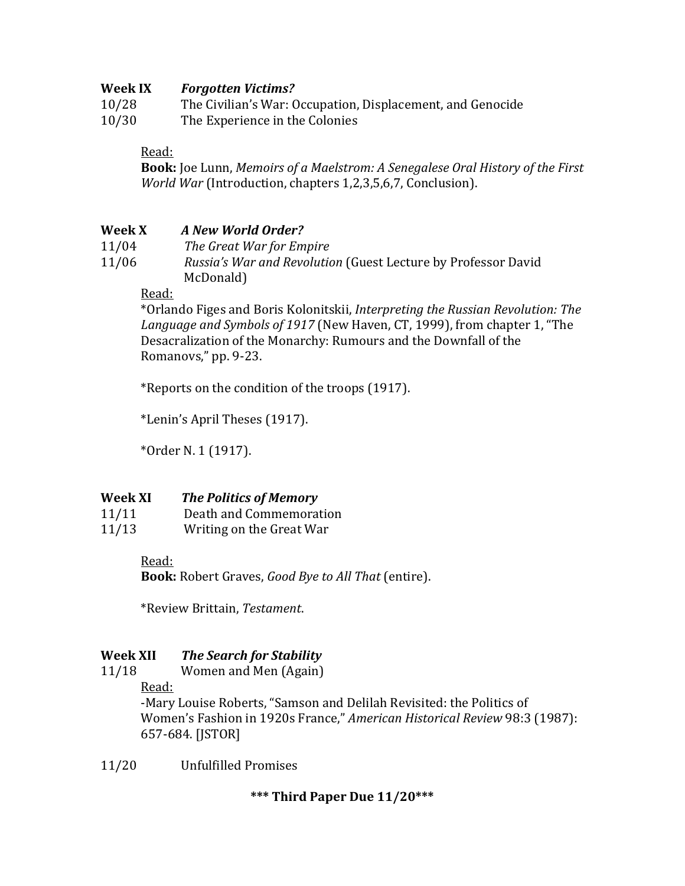### **Week IX** *Forgotten Victims?*

10/28 The Civilian's War: Occupation, Displacement, and Genocide

10/30 The Experience in the Colonies

# Read:

**Book:** Joe Lunn, *Memoirs of a Maelstrom: A Senegalese Oral History of the First World War* (Introduction, chapters 1,2,3,5,6,7, Conclusion).

# **Week X** *A New World Order?*

- 11/04 *The Great War for Empire*
- 11/06 *Russia's War and Revolution* (Guest Lecture by Professor David McDonald)

# Read:

 \*Orlando Figes and Boris Kolonitskii, *Interpreting the Russian Revolution: The Language and Symbols of 1917* (New Haven, CT, 1999), from chapter 1, "The Desacralization of the Monarchy: Rumours and the Downfall of the Romanovs," pp. 9-23.

\*Reports on the condition of the troops (1917).

 \*Lenin's April Theses (1917). 

 \*Order N. 1 (1917). 

### **Week XI** *The Politics of Memory*

| 11/11 | Death and Commemoration  |
|-------|--------------------------|
| 11/13 | Writing on the Great War |

### Read:

**Book:** Robert Graves, *Good Bye to All That* (entire). 

\*Review Brittain, *Testament*. 

# **Week XII** *The Search for Stability*

11/18 Women and Men (Again)

Read: 

-Mary Louise Roberts, "Samson and Delilah Revisited: the Politics of Women's Fashion in 1920s France," American Historical Review 98:3 (1987): 657‐684. [JSTOR] 

11/20 Unfulfilled Promises

**\*\*\* Third Paper Due 11/20\*\*\***